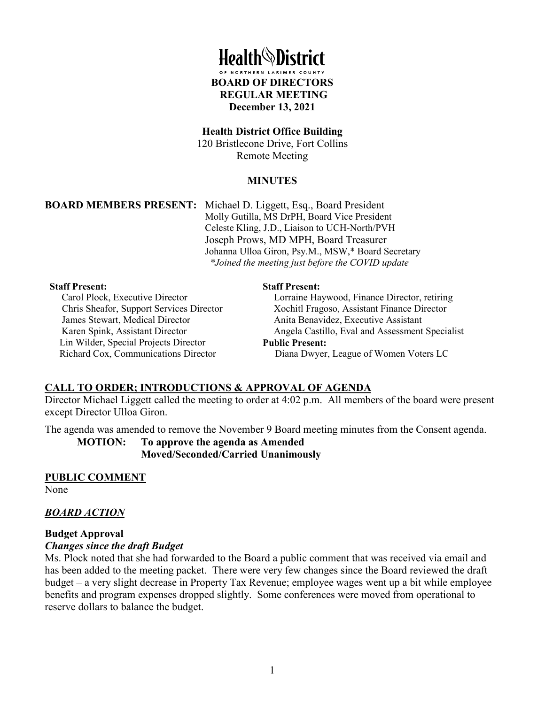

#### **Health District Office Building**

120 Bristlecone Drive, Fort Collins Remote Meeting

#### **MINUTES**

**BOARD MEMBERS PRESENT:** Michael D. Liggett, Esq., Board President Molly Gutilla, MS DrPH, Board Vice President Celeste Kling, J.D., Liaison to UCH-North/PVH Joseph Prows, MD MPH, Board Treasurer Johanna Ulloa Giron, Psy.M., MSW,\* Board Secretary *\*Joined the meeting just before the COVID update*

#### **Staff Present:**

Carol Plock, Executive Director Chris Sheafor, Support Services Director James Stewart, Medical Director Karen Spink, Assistant Director Lin Wilder, Special Projects Director Richard Cox, Communications Director

#### **Staff Present:**

Lorraine Haywood, Finance Director, retiring Xochitl Fragoso, Assistant Finance Director Anita Benavidez, Executive Assistant Angela Castillo, Eval and Assessment Specialist **Public Present:** Diana Dwyer, League of Women Voters LC

#### **CALL TO ORDER; INTRODUCTIONS & APPROVAL OF AGENDA**

Director Michael Liggett called the meeting to order at 4:02 p.m. All members of the board were present except Director Ulloa Giron.

The agenda was amended to remove the November 9 Board meeting minutes from the Consent agenda.

**MOTION: To approve the agenda as Amended Moved/Seconded/Carried Unanimously**

**PUBLIC COMMENT** None

#### *BOARD ACTION*

#### **Budget Approval**

#### *Changes since the draft Budget*

Ms. Plock noted that she had forwarded to the Board a public comment that was received via email and has been added to the meeting packet. There were very few changes since the Board reviewed the draft budget – a very slight decrease in Property Tax Revenue; employee wages went up a bit while employee benefits and program expenses dropped slightly. Some conferences were moved from operational to reserve dollars to balance the budget.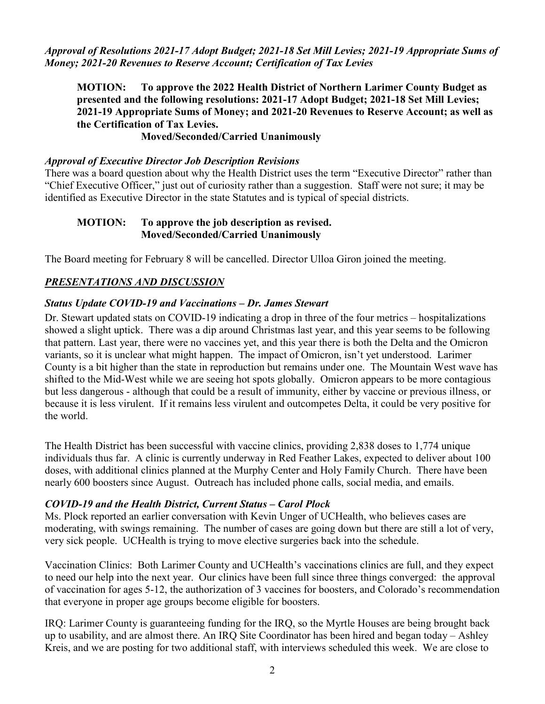*Approval of Resolutions 2021-17 Adopt Budget; 2021-18 Set Mill Levies; 2021-19 Appropriate Sums of Money; 2021-20 Revenues to Reserve Account; Certification of Tax Levies*

**MOTION: To approve the 2022 Health District of Northern Larimer County Budget as presented and the following resolutions: 2021-17 Adopt Budget; 2021-18 Set Mill Levies; 2021-19 Appropriate Sums of Money; and 2021-20 Revenues to Reserve Account; as well as the Certification of Tax Levies.**

## **Moved/Seconded/Carried Unanimously**

### *Approval of Executive Director Job Description Revisions*

There was a board question about why the Health District uses the term "Executive Director" rather than "Chief Executive Officer," just out of curiosity rather than a suggestion. Staff were not sure; it may be identified as Executive Director in the state Statutes and is typical of special districts.

### **MOTION: To approve the job description as revised. Moved/Seconded/Carried Unanimously**

The Board meeting for February 8 will be cancelled. Director Ulloa Giron joined the meeting.

# *PRESENTATIONS AND DISCUSSION*

## *Status Update COVID-19 and Vaccinations – Dr. James Stewart*

Dr. Stewart updated stats on COVID-19 indicating a drop in three of the four metrics – hospitalizations showed a slight uptick. There was a dip around Christmas last year, and this year seems to be following that pattern. Last year, there were no vaccines yet, and this year there is both the Delta and the Omicron variants, so it is unclear what might happen. The impact of Omicron, isn't yet understood. Larimer County is a bit higher than the state in reproduction but remains under one. The Mountain West wave has shifted to the Mid-West while we are seeing hot spots globally. Omicron appears to be more contagious but less dangerous - although that could be a result of immunity, either by vaccine or previous illness, or because it is less virulent. If it remains less virulent and outcompetes Delta, it could be very positive for the world.

The Health District has been successful with vaccine clinics, providing 2,838 doses to 1,774 unique individuals thus far. A clinic is currently underway in Red Feather Lakes, expected to deliver about 100 doses, with additional clinics planned at the Murphy Center and Holy Family Church. There have been nearly 600 boosters since August. Outreach has included phone calls, social media, and emails.

## *COVID-19 and the Health District, Current Status – Carol Plock*

Ms. Plock reported an earlier conversation with Kevin Unger of UCHealth, who believes cases are moderating, with swings remaining. The number of cases are going down but there are still a lot of very, very sick people. UCHealth is trying to move elective surgeries back into the schedule.

Vaccination Clinics: Both Larimer County and UCHealth's vaccinations clinics are full, and they expect to need our help into the next year. Our clinics have been full since three things converged: the approval of vaccination for ages 5-12, the authorization of 3 vaccines for boosters, and Colorado's recommendation that everyone in proper age groups become eligible for boosters.

IRQ: Larimer County is guaranteeing funding for the IRQ, so the Myrtle Houses are being brought back up to usability, and are almost there. An IRQ Site Coordinator has been hired and began today – Ashley Kreis, and we are posting for two additional staff, with interviews scheduled this week. We are close to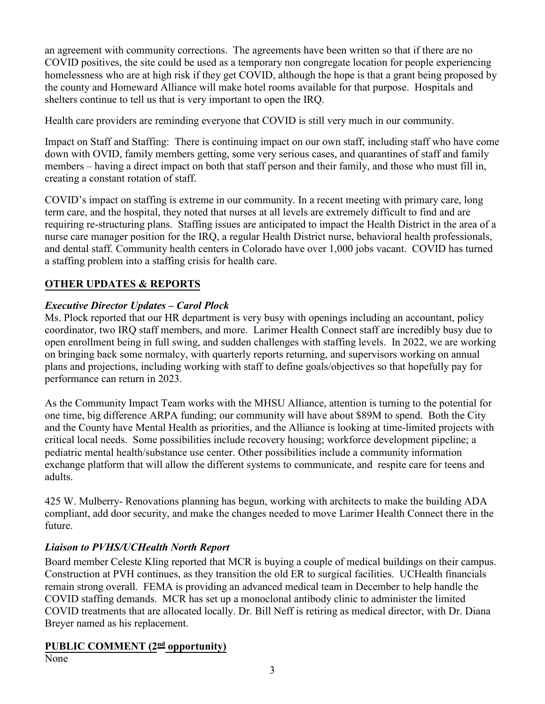an agreement with community corrections. The agreements have been written so that if there are no COVID positives, the site could be used as a temporary non congregate location for people experiencing homelessness who are at high risk if they get COVID, although the hope is that a grant being proposed by the county and Homeward Alliance will make hotel rooms available for that purpose. Hospitals and shelters continue to tell us that is very important to open the IRQ.

Health care providers are reminding everyone that COVID is still very much in our community.

Impact on Staff and Staffing: There is continuing impact on our own staff, including staff who have come down with OVID, family members getting, some very serious cases, and quarantines of staff and family members – having a direct impact on both that staff person and their family, and those who must fill in, creating a constant rotation of staff.

COVID's impact on staffing is extreme in our community. In a recent meeting with primary care, long term care, and the hospital, they noted that nurses at all levels are extremely difficult to find and are requiring re-structuring plans. Staffing issues are anticipated to impact the Health District in the area of a nurse care manager position for the IRQ, a regular Health District nurse, behavioral health professionals, and dental staff. Community health centers in Colorado have over 1,000 jobs vacant. COVID has turned a staffing problem into a staffing crisis for health care.

# **OTHER UPDATES & REPORTS**

# *Executive Director Updates – Carol Plock*

Ms. Plock reported that our HR department is very busy with openings including an accountant, policy coordinator, two IRQ staff members, and more. Larimer Health Connect staff are incredibly busy due to open enrollment being in full swing, and sudden challenges with staffing levels. In 2022, we are working on bringing back some normalcy, with quarterly reports returning, and supervisors working on annual plans and projections, including working with staff to define goals/objectives so that hopefully pay for performance can return in 2023.

As the Community Impact Team works with the MHSU Alliance, attention is turning to the potential for one time, big difference ARPA funding; our community will have about \$89M to spend. Both the City and the County have Mental Health as priorities, and the Alliance is looking at time-limited projects with critical local needs. Some possibilities include recovery housing; workforce development pipeline; a pediatric mental health/substance use center. Other possibilities include a community information exchange platform that will allow the different systems to communicate, and respite care for teens and adults.

425 W. Mulberry- Renovations planning has begun, working with architects to make the building ADA compliant, add door security, and make the changes needed to move Larimer Health Connect there in the future.

# *Liaison to PVHS/UCHealth North Report*

Board member Celeste Kling reported that MCR is buying a couple of medical buildings on their campus. Construction at PVH continues, as they transition the old ER to surgical facilities. UCHealth financials remain strong overall. FEMA is providing an advanced medical team in December to help handle the COVID staffing demands. MCR has set up a monoclonal antibody clinic to administer the limited COVID treatments that are allocated locally. Dr. Bill Neff is retiring as medical director, with Dr. Diana Breyer named as his replacement.

# **PUBLIC COMMENT (2<sup>nd</sup> opportunity)**

None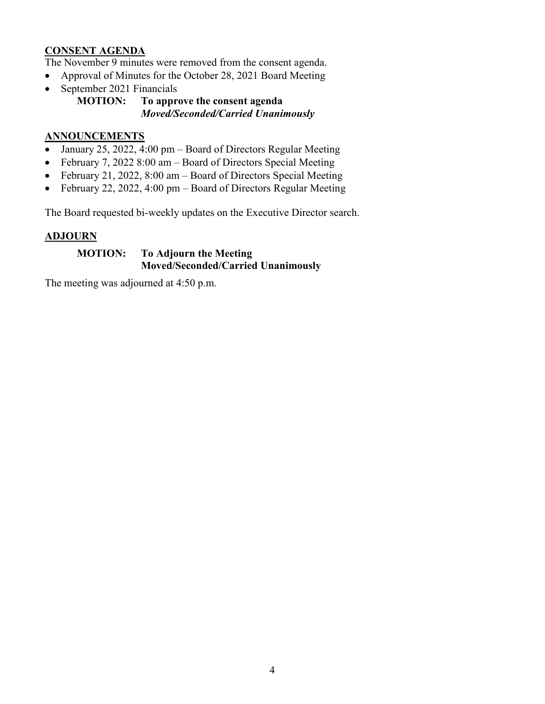## **CONSENT AGENDA**

The November 9 minutes were removed from the consent agenda.

- Approval of Minutes for the October 28, 2021 Board Meeting
- September 2021 Financials

#### **MOTION: To approve the consent agenda** *Moved/Seconded/Carried Unanimously*

## **ANNOUNCEMENTS**

- January 25, 2022, 4:00 pm Board of Directors Regular Meeting
- February 7, 2022 8:00 am Board of Directors Special Meeting
- February 21, 2022, 8:00 am Board of Directors Special Meeting
- February 22, 2022, 4:00 pm Board of Directors Regular Meeting

The Board requested bi-weekly updates on the Executive Director search.

## **ADJOURN**

### **MOTION: To Adjourn the Meeting Moved/Seconded/Carried Unanimously**

The meeting was adjourned at 4:50 p.m.